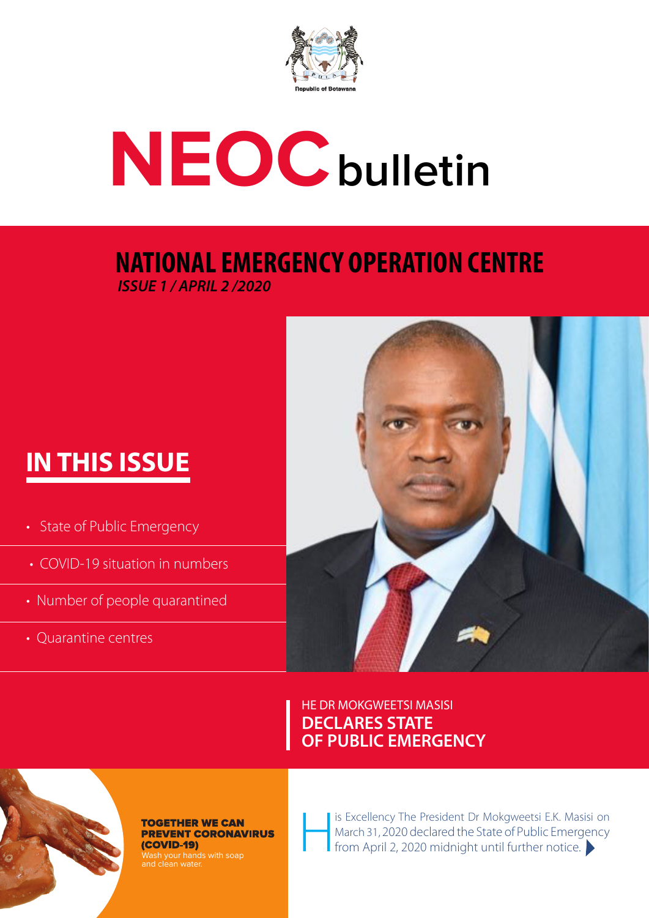

# **NEOCbulletin**

### **NATIONAL EMERGENCY OPERATION CENTRE** *ISSUE 1 / APRIL 2 /2020*

## **IN THIS ISSUE**

- State of Public Emergency
- COVID-19 situation in numbers
- Number of people quarantined
- Quarantine centres



HE DR MOKGWEETSI MASISI **DECLARES STATE OF PUBLIC EMERGENCY**



#### **TOGETHER WE CAN PREVENT CORONAVIRUS** (COVID-19)

Wash your hands with soap and clean water.

I is Excellency The President Dr Mokgweetsi E.K. Masisi on March 31, 2020 declared the State of Public Emergency from April 2, 2020 midnight until further notice.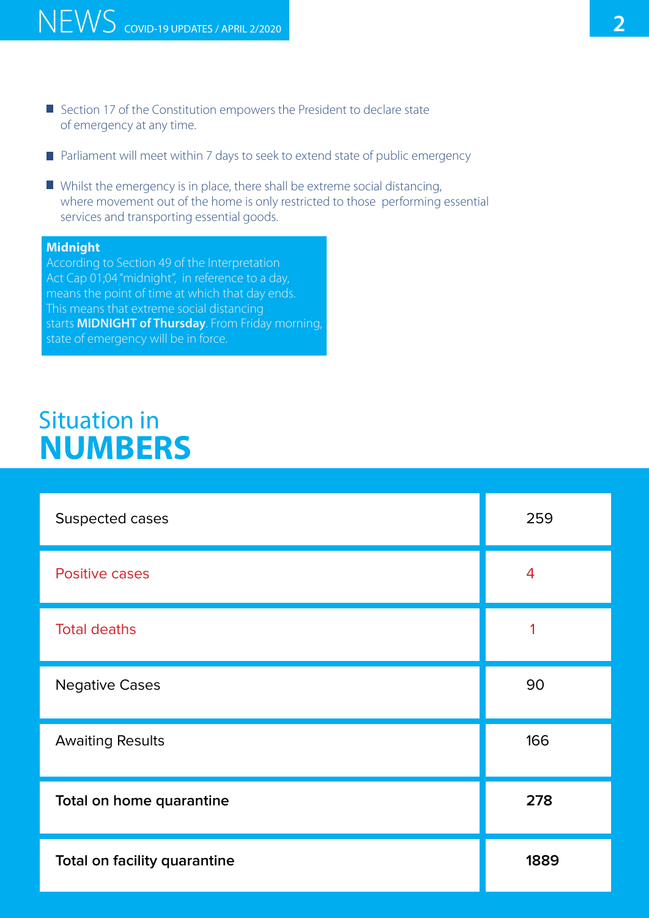- **Section 17 of the Constitution empowers the President to declare state** of emergency at any time.
- **•** Parliament will meet within 7 days to seek to extend state of public emergency
- $\blacksquare$  Whilst the emergency is in place, there shall be extreme social distancing, where movement out of the home is only restricted to those performing essential services and transporting essential goods.

#### **Midnight**

According to Section 49 of the Interpretation Act Cap 01;04 "midnight", in reference to a day, means the point of time at which that day ends. This means that extreme social distancing starts **MIDNIGHT of Thursday**. From Friday morning, state of emergency will be in force.

## Situation in **NUMBERS**

| Suspected cases              | 259  |
|------------------------------|------|
| <b>Positive cases</b>        | 4    |
| <b>Total deaths</b>          |      |
| <b>Negative Cases</b>        | 90   |
| <b>Awaiting Results</b>      | 166  |
| Total on home quarantine     | 278  |
| Total on facility quarantine | 1889 |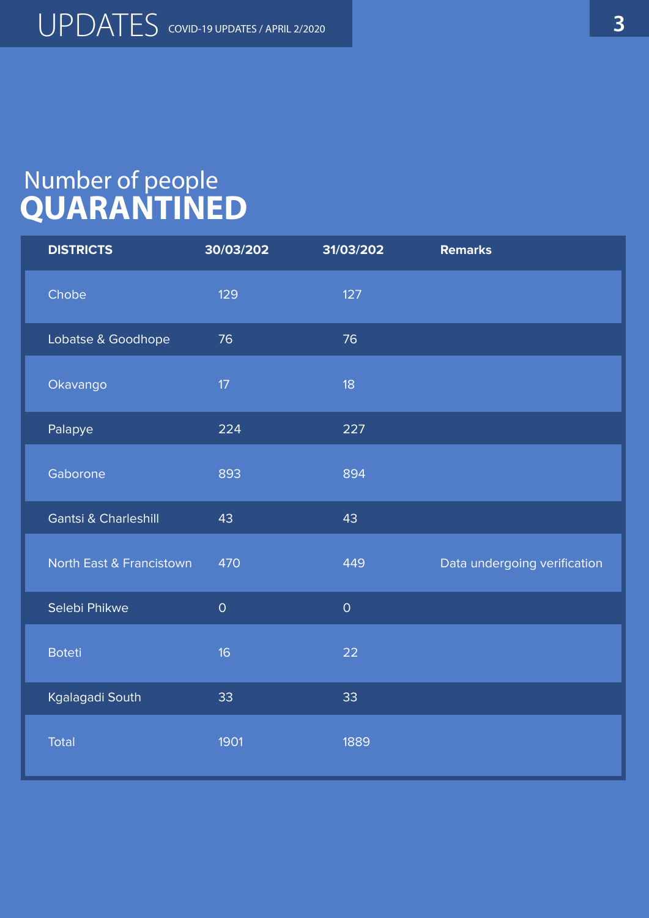## Number of people **QUARANTINED**

| <b>DISTRICTS</b>                    | 30/03/202   | 31/03/202           | <b>Remarks</b>               |
|-------------------------------------|-------------|---------------------|------------------------------|
| Chobe                               | 129         | 127                 |                              |
| Lobatse & Goodhope                  | 76          | 76                  |                              |
| Okavango                            | 17          | 18                  |                              |
| Palapye                             | 224         | 227                 |                              |
| Gaborone                            | 893         | 894                 |                              |
| <b>Gantsi &amp; Charleshill</b>     | 43          | 43                  |                              |
| <b>North East &amp; Francistown</b> | 470         | 449                 | Data undergoing verification |
| Selebi Phikwe                       | $\mathsf O$ | $\mathsf{O}\xspace$ |                              |
| <b>Boteti</b>                       | 16          | 22                  |                              |
| Kgalagadi South                     | 33          | 33                  |                              |
| Total                               | 1901        | 1889                |                              |